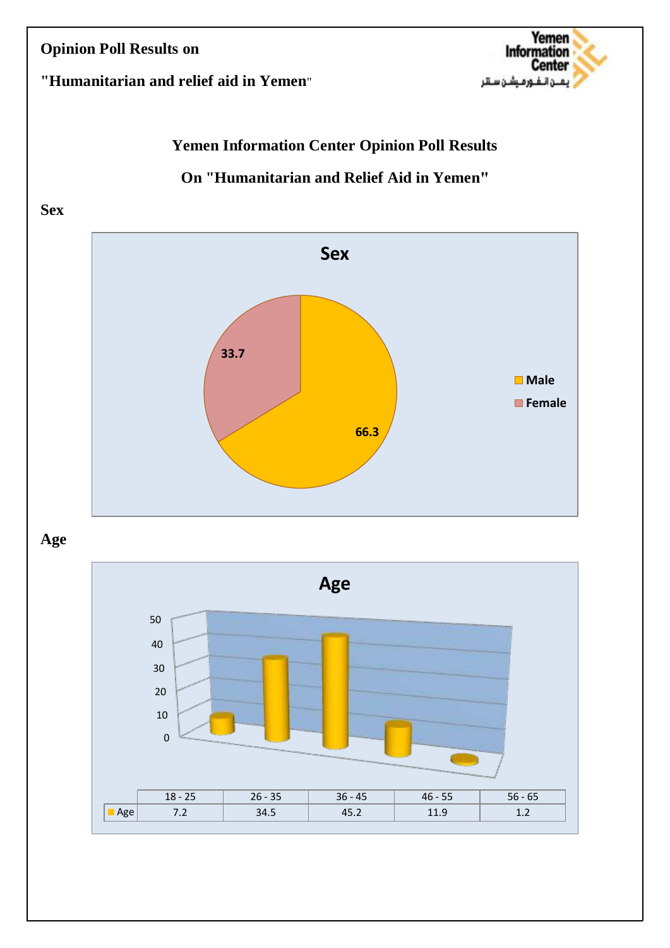

## **"Humanitarian and relief aid in Yemen**"

# **Yemen Information Center Opinion Poll Results**

## **On "Humanitarian and Relief Aid in Yemen"**

#### **Sex**



## **Age**

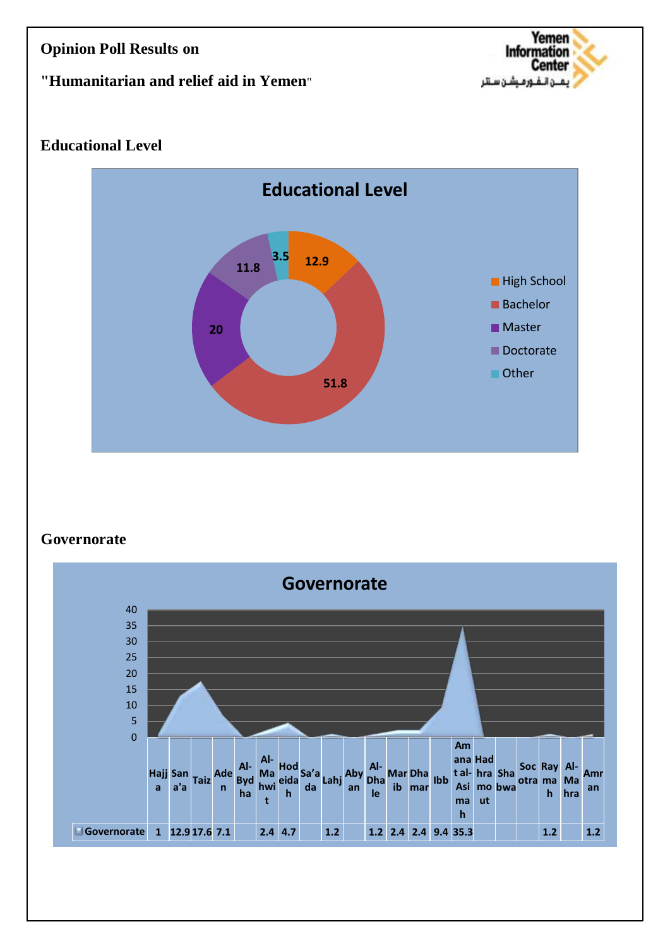### **"Humanitarian and relief aid in Yemen**"



## **Educational Level**



#### **Governorate**

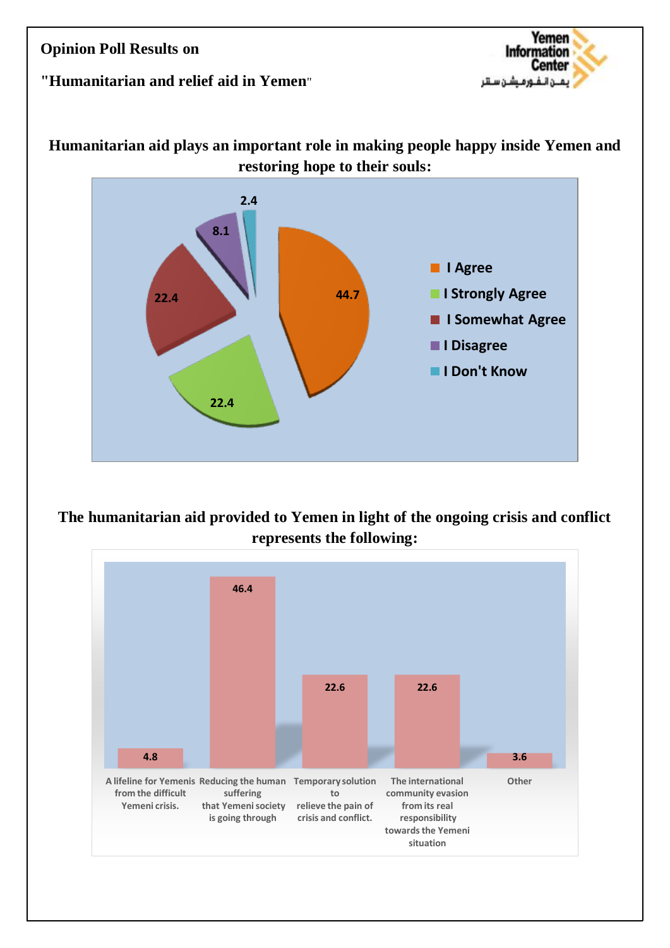## **"Humanitarian and relief aid in Yemen**"



## **Humanitarian aid plays an important role in making people happy inside Yemen and restoring hope to their souls:**



**The humanitarian aid provided to Yemen in light of the ongoing crisis and conflict represents the following:**

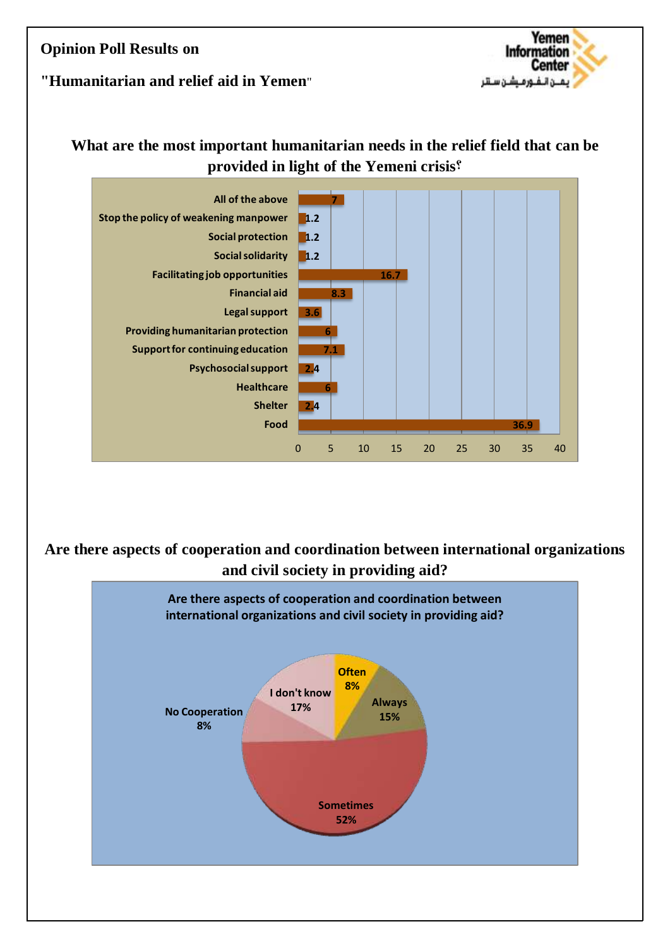#### Yemen **Information Center** بمن الـفـور مــشـن سـتلر

### **"Humanitarian and relief aid in Yemen**"

# **What are the most important humanitarian needs in the relief field that can be provided in light of the Yemeni crisis?**



**Are there aspects of cooperation and coordination between international organizations and civil society in providing aid?**

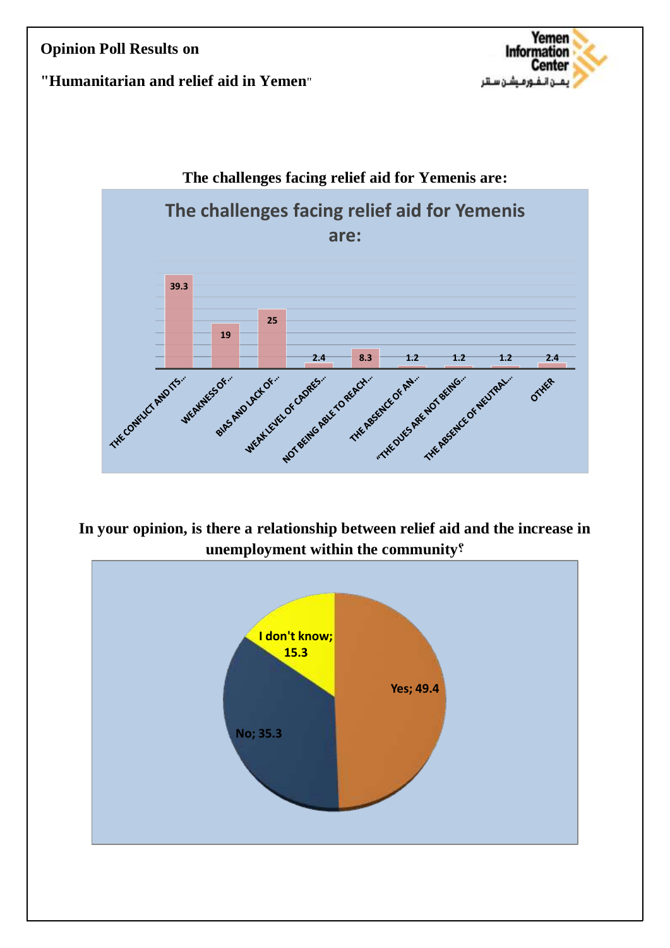

#### **"Humanitarian and relief aid in Yemen**"



**In your opinion, is there a relationship between relief aid and the increase in unemployment within the community?**